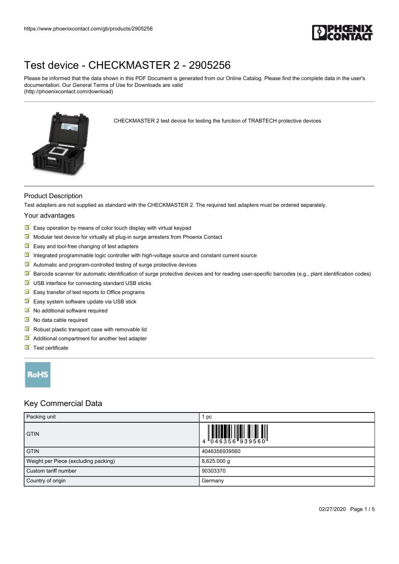

Please be informed that the data shown in this PDF Document is generated from our Online Catalog. Please find the complete data in the user's documentation. Our General Terms of Use for Downloads are valid (http://phoenixcontact.com/download)



CHECKMASTER 2 test device for testing the function of TRABTECH protective devices

### Product Description

Test adapters are not supplied as standard with the CHECKMASTER 2. The required test adapters must be ordered separately.

#### Your advantages

- $\triangleright$  Easy operation by means of color touch display with virtual keypad
- $M$  Modular test device for virtually all plug-in surge arresters from Phoenix Contact
- $\blacksquare$  Easy and tool-free changing of test adapters
- $\blacksquare$  Integrated programmable logic controller with high-voltage source and constant current source
- $\blacksquare$  Automatic and program-controlled testing of surge protective devices
- $\mathbb F$  Barcode scanner for automatic identification of surge protective devices and for reading user-specific barcodes (e.g., plant identification codes)
- $\blacksquare$  USB interface for connecting standard USB sticks
- $\blacksquare$  Easy transfer of test reports to Office programs
- $E$  Easy system software update via USB stick
- $\blacksquare$  No additional software required
- $\blacksquare$  No data cable required
- $\blacksquare$  Robust plastic transport case with removable lid
- $\blacksquare$  Additional compartment for another test adapter
- $\blacksquare$  Test certificate

## RoHS

## Key Commercial Data

| Packing unit                         | рc                                                                        |
|--------------------------------------|---------------------------------------------------------------------------|
| <b>GTIN</b>                          | $\begin{array}{c} 1 & 0 & 0 & 0 \\ 0 & 0 & 4 & 6 & 3 & 5 & 6 \end{array}$ |
| <b>GTIN</b>                          | 4046356939560                                                             |
| Weight per Piece (excluding packing) | $8,625.000$ g                                                             |
| l Custom tariff number               | 90303370                                                                  |
| Country of origin                    | Germany                                                                   |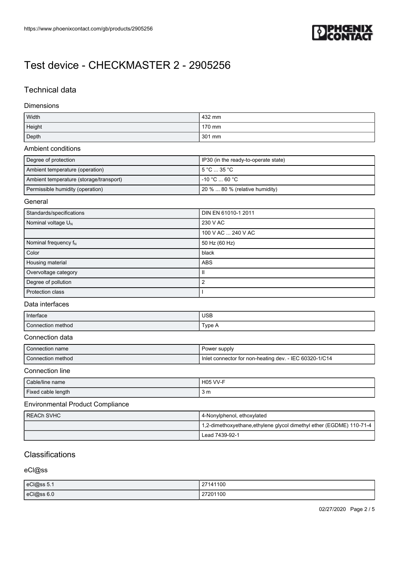

## Technical data

#### **Dimensions**

| Width  | 432 mm |
|--------|--------|
| Height | 170 mm |
| Depth  | 301 mm |

#### Ambient conditions

| Degree of protection                    | I IP30 (in the ready-to-operate state) |
|-----------------------------------------|----------------------------------------|
| Ambient temperature (operation)         | l 5 °C … 35 °C .                       |
| Ambient temperature (storage/transport) | l -10 °C  60 °C .                      |
| Permissible humidity (operation)        | 20 %  80 % (relative humidity)         |

#### **General**

| Standards/specifications | DIN EN 61010-1 2011 |
|--------------------------|---------------------|
| Nominal voltage $U_N$    | 230 V AC            |
|                          | 100 V AC  240 V AC  |
| Nominal frequency $f_N$  | 50 Hz (60 Hz)       |
| Color                    | black               |
| Housing material         | <b>ABS</b>          |
| Overvoltage category     | Ш                   |
| Degree of pollution      | 2                   |
| Protection class         |                     |

#### Data interfaces

| Interface         | <b>USB</b>    |
|-------------------|---------------|
| $\sim$            | ${^{T}$ vpe A |
| Connection method | . .           |

#### Connection data

| Connection name   | Power supply                                             |
|-------------------|----------------------------------------------------------|
| Connection method | I Inlet connector for non-heating dev. - IEC 60320-1/C14 |

### Connection line

| Cable/line name    | <b>H05 VV-F</b> |
|--------------------|-----------------|
| Fixed cable length | 3 m             |

### Environmental Product Compliance

| I REACh SVHC | 4-Nonylphenol, ethoxylated                                          |
|--------------|---------------------------------------------------------------------|
|              | 1,2-dimethoxyethane,ethylene glycol dimethyl ether (EGDME) 110-71-4 |
|              | Lead 7439-92-1                                                      |

## **Classifications**

eCl@ss

| eCl@ss 5.1 | 27141100 |
|------------|----------|
| eCl@ss 6.0 | 27201100 |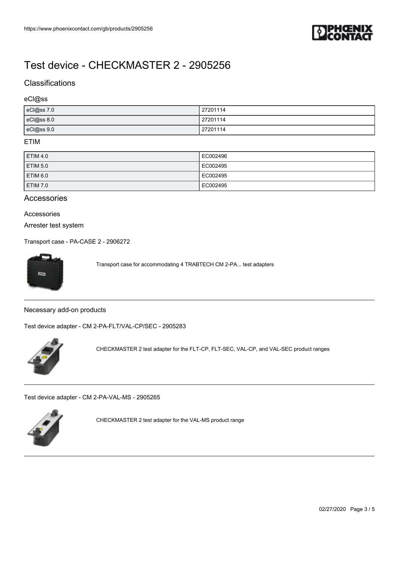

## **Classifications**

#### eCl@ss

| eCl@ss 7.0 | 27201114 |
|------------|----------|
| eCl@ss 8.0 | 27201114 |
| eCl@ss 9.0 | 27201114 |

### ETIM

| <b>ETIM 4.0</b>     | EC002496 |
|---------------------|----------|
| ETIM 5.0            | EC002495 |
| ETIM <sub>6.0</sub> | EC002495 |
| ETIM 7.0            | EC002495 |

### Accessories

### Accessories

Arrester test system

[Transport case - PA-CASE 2 - 2906272](https://www.phoenixcontact.com/gb/products/2906272)



Transport case for accommodating 4 TRABTECH CM 2-PA... test adapters

Necessary add-on products

[Test device adapter - CM 2-PA-FLT/VAL-CP/SEC - 2905283](https://www.phoenixcontact.com/gb/products/2905283)



CHECKMASTER 2 test adapter for the FLT-CP, FLT-SEC, VAL-CP, and VAL-SEC product ranges

[Test device adapter - CM 2-PA-VAL-MS - 2905265](https://www.phoenixcontact.com/gb/products/2905265)



CHECKMASTER 2 test adapter for the VAL-MS product range

02/27/2020 Page 3 / 5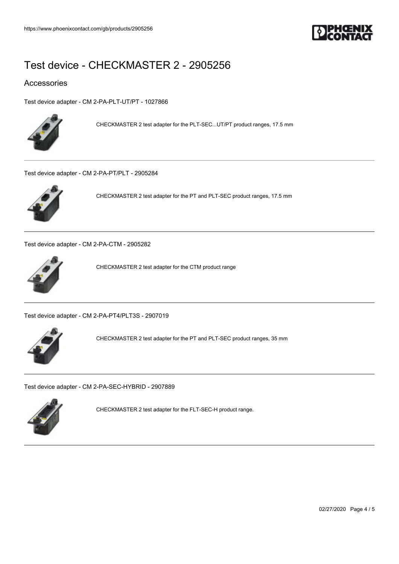

## Accessories

[Test device adapter - CM 2-PA-PLT-UT/PT - 1027866](https://www.phoenixcontact.com/gb/products/1027866)



CHECKMASTER 2 test adapter for the PLT-SEC...UT/PT product ranges, 17.5 mm

[Test device adapter - CM 2-PA-PT/PLT - 2905284](https://www.phoenixcontact.com/gb/products/2905284)



CHECKMASTER 2 test adapter for the PT and PLT-SEC product ranges, 17.5 mm

[Test device adapter - CM 2-PA-CTM - 2905282](https://www.phoenixcontact.com/gb/products/2905282)



CHECKMASTER 2 test adapter for the CTM product range

[Test device adapter - CM 2-PA-PT4/PLT3S - 2907019](https://www.phoenixcontact.com/gb/products/2907019)



CHECKMASTER 2 test adapter for the PT and PLT-SEC product ranges, 35 mm

[Test device adapter - CM 2-PA-SEC-HYBRID - 2907889](https://www.phoenixcontact.com/gb/products/2907889)



CHECKMASTER 2 test adapter for the FLT-SEC-H product range.

02/27/2020 Page 4 / 5